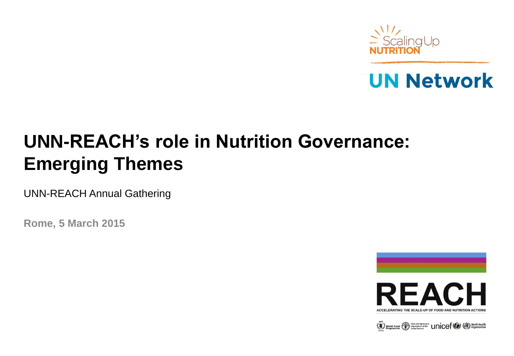



# **UNN-REACH's role in Nutrition Governance: Emerging Themes**

UNN-REACH Annual Gathering

**Rome, 5 March 2015**



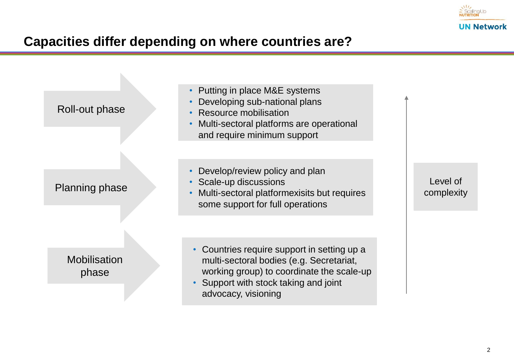

## **Capacities differ depending on where countries are?**

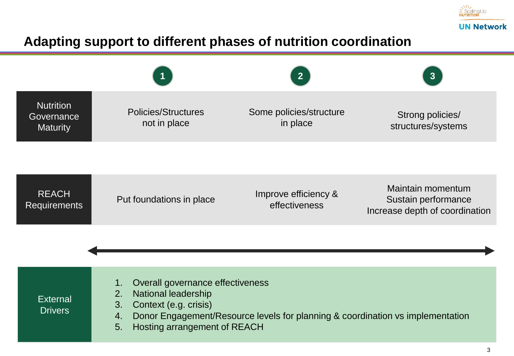

## **Adapting support to different phases of nutrition coordination**

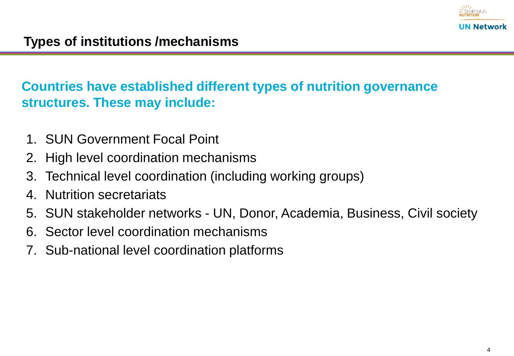

## **Countries have established different types of nutrition governance structures. These may include:**

- 1. SUN Government Focal Point
- 2. High level coordination mechanisms
- 3. Technical level coordination (including working groups)
- 4. Nutrition secretariats
- 5. SUN stakeholder networks UN, Donor, Academia, Business, Civil society
- 6. Sector level coordination mechanisms
- 7. Sub-national level coordination platforms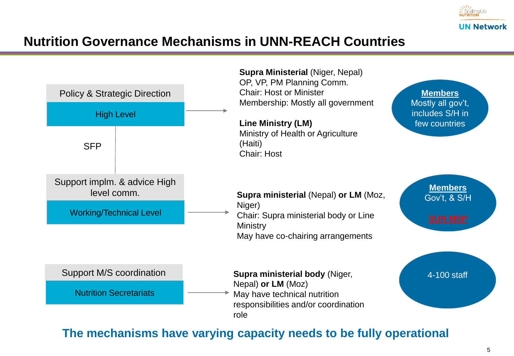

## **Nutrition Governance Mechanisms in UNN-REACH Countries**



### **The mechanisms have varying capacity needs to be fully operational**